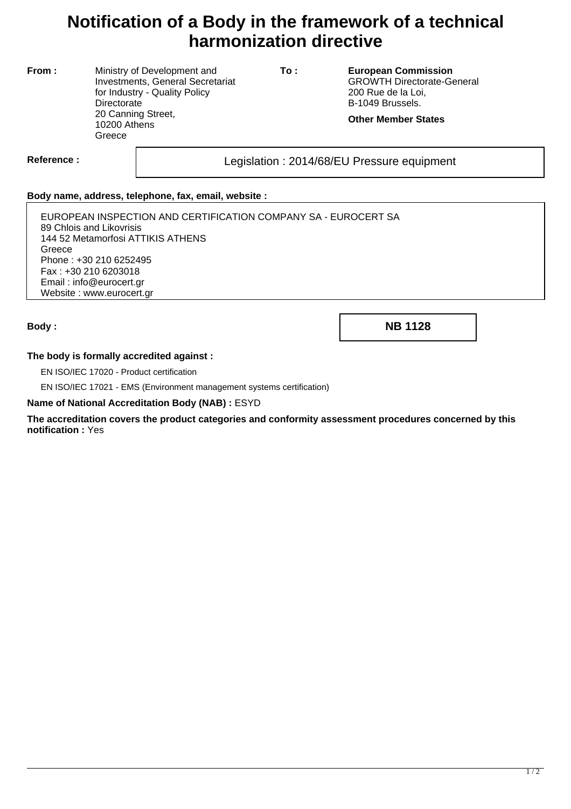# **Notification of a Body in the framework of a technical harmonization directive**

**From :** Ministry of Development and Investments, General Secretariat for Industry - Quality Policy **Directorate** 20 Canning Street, 10200 Athens **Greece** 

**To : European Commission** GROWTH Directorate-General 200 Rue de la Loi, B-1049 Brussels.

**Other Member States**

Reference : and all the sequipment Legislation : 2014/68/EU Pressure equipment

### **Body name, address, telephone, fax, email, website :**

EUROPEAN INSPECTION AND CERTIFICATION COMPANY SA - EUROCERT SA 89 Chlois and Likovrisis 144 52 Metamorfosi ATTIKIS ATHENS **Greece** Phone : +30 210 6252495 Fax : +30 210 6203018 Email : info@eurocert.gr Website : www.eurocert.gr

**Body : NB 1128**

### **The body is formally accredited against :**

EN ISO/IEC 17020 - Product certification

EN ISO/IEC 17021 - EMS (Environment management systems certification)

#### **Name of National Accreditation Body (NAB) :** ESYD

**The accreditation covers the product categories and conformity assessment procedures concerned by this notification :** Yes